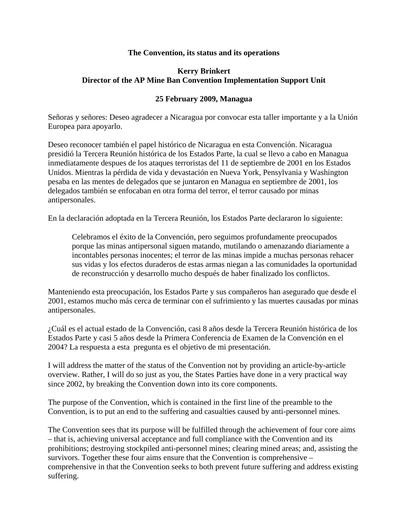## **The Convention, its status and its operations**

## **Kerry Brinkert Director of the AP Mine Ban Convention Implementation Support Unit**

## **25 February 2009, Managua**

Señoras y señores: Deseo agradecer a Nicaragua por convocar esta taller importante y a la Unión Europea para apoyarlo.

Deseo reconocer también el papel histórico de Nicaragua en esta Convención. Nicaragua presidió la Tercera Reunión histórica de los Estados Parte, la cual se llevo a cabo en Managua inmediatamente despues de los ataques terroristas del 11 de septiembre de 2001 en los Estados Unidos. Mientras la pérdida de vida y devastación en Nueva York, Pensylvania y Washington pesaba en las mentes de delegados que se juntaron en Managua en septiembre de 2001, los delegados también se enfocaban en otra forma del terror, el terror causado por minas antipersonales.

En la declaración adoptada en la Tercera Reunión, los Estados Parte declararon lo siguiente:

Celebramos el éxito de la Convención, pero seguimos profundamente preocupados porque las minas antipersonal siguen matando, mutilando o amenazando diariamente a incontables personas inocentes; el terror de las minas impide a muchas personas rehacer sus vidas y los efectos duraderos de estas armas niegan a las comunidades la oportunidad de reconstrucción y desarrollo mucho después de haber finalizado los conflictos.

Manteniendo esta preocupación, los Estados Parte y sus compañeros han asegurado que desde el 2001, estamos mucho más cerca de terminar con el sufrimiento y las muertes causadas por minas antipersonales.

¿Cuál es el actual estado de la Convención, casi 8 años desde la Tercera Reunión histórica de los Estados Parte y casi 5 años desde la Primera Conferencia de Examen de la Convención en el 2004? La respuesta a esta pregunta es el objetivo de mi presentación.

I will address the matter of the status of the Convention not by providing an article-by-article overview. Rather, I will do so just as you, the States Parties have done in a very practical way since 2002, by breaking the Convention down into its core components.

The purpose of the Convention, which is contained in the first line of the preamble to the Convention, is to put an end to the suffering and casualties caused by anti-personnel mines.

The Convention sees that its purpose will be fulfilled through the achievement of four core aims – that is, achieving universal acceptance and full compliance with the Convention and its prohibitions; destroying stockpiled anti-personnel mines; clearing mined areas; and, assisting the survivors. Together these four aims ensure that the Convention is comprehensive – comprehensive in that the Convention seeks to both prevent future suffering and address existing suffering.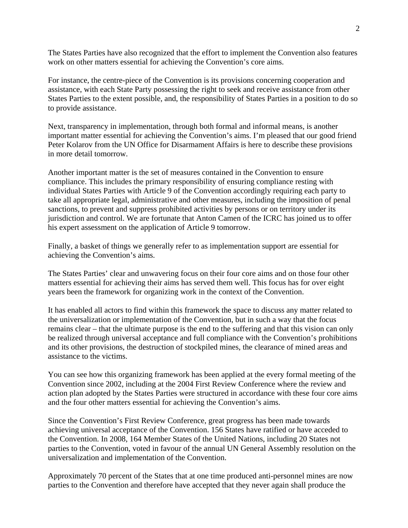The States Parties have also recognized that the effort to implement the Convention also features work on other matters essential for achieving the Convention's core aims.

For instance, the centre-piece of the Convention is its provisions concerning cooperation and assistance, with each State Party possessing the right to seek and receive assistance from other States Parties to the extent possible, and, the responsibility of States Parties in a position to do so to provide assistance.

Next, transparency in implementation, through both formal and informal means, is another important matter essential for achieving the Convention's aims. I'm pleased that our good friend Peter Kolarov from the UN Office for Disarmament Affairs is here to describe these provisions in more detail tomorrow.

Another important matter is the set of measures contained in the Convention to ensure compliance. This includes the primary responsibility of ensuring compliance resting with individual States Parties with Article 9 of the Convention accordingly requiring each party to take all appropriate legal, administrative and other measures, including the imposition of penal sanctions, to prevent and suppress prohibited activities by persons or on territory under its jurisdiction and control. We are fortunate that Anton Camen of the ICRC has joined us to offer his expert assessment on the application of Article 9 tomorrow.

Finally, a basket of things we generally refer to as implementation support are essential for achieving the Convention's aims.

The States Parties' clear and unwavering focus on their four core aims and on those four other matters essential for achieving their aims has served them well. This focus has for over eight years been the framework for organizing work in the context of the Convention.

It has enabled all actors to find within this framework the space to discuss any matter related to the universalization or implementation of the Convention, but in such a way that the focus remains clear – that the ultimate purpose is the end to the suffering and that this vision can only be realized through universal acceptance and full compliance with the Convention's prohibitions and its other provisions, the destruction of stockpiled mines, the clearance of mined areas and assistance to the victims.

You can see how this organizing framework has been applied at the every formal meeting of the Convention since 2002, including at the 2004 First Review Conference where the review and action plan adopted by the States Parties were structured in accordance with these four core aims and the four other matters essential for achieving the Convention's aims.

Since the Convention's First Review Conference, great progress has been made towards achieving universal acceptance of the Convention. 156 States have ratified or have acceded to the Convention. In 2008, 164 Member States of the United Nations, including 20 States not parties to the Convention, voted in favour of the annual UN General Assembly resolution on the universalization and implementation of the Convention.

Approximately 70 percent of the States that at one time produced anti-personnel mines are now parties to the Convention and therefore have accepted that they never again shall produce the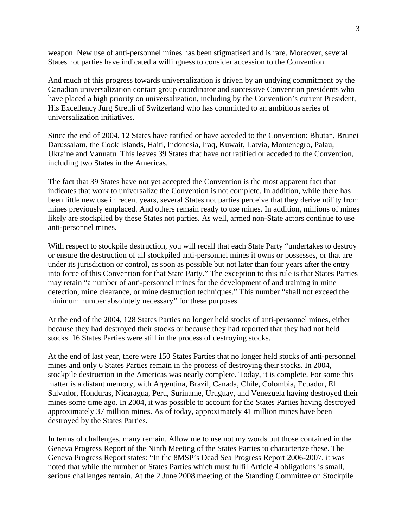weapon. New use of anti-personnel mines has been stigmatised and is rare. Moreover, several States not parties have indicated a willingness to consider accession to the Convention.

And much of this progress towards universalization is driven by an undying commitment by the Canadian universalization contact group coordinator and successive Convention presidents who have placed a high priority on universalization, including by the Convention's current President, His Excellency Jürg Streuli of Switzerland who has committed to an ambitious series of universalization initiatives.

Since the end of 2004, 12 States have ratified or have acceded to the Convention: Bhutan, Brunei Darussalam, the Cook Islands, Haiti, Indonesia, Iraq, Kuwait, Latvia, Montenegro, Palau, Ukraine and Vanuatu. This leaves 39 States that have not ratified or acceded to the Convention, including two States in the Americas.

The fact that 39 States have not yet accepted the Convention is the most apparent fact that indicates that work to universalize the Convention is not complete. In addition, while there has been little new use in recent years, several States not parties perceive that they derive utility from mines previously emplaced. And others remain ready to use mines. In addition, millions of mines likely are stockpiled by these States not parties. As well, armed non-State actors continue to use anti-personnel mines.

With respect to stockpile destruction, you will recall that each State Party "undertakes to destroy or ensure the destruction of all stockpiled anti-personnel mines it owns or possesses, or that are under its jurisdiction or control, as soon as possible but not later than four years after the entry into force of this Convention for that State Party." The exception to this rule is that States Parties may retain "a number of anti-personnel mines for the development of and training in mine detection, mine clearance, or mine destruction techniques." This number "shall not exceed the minimum number absolutely necessary" for these purposes.

At the end of the 2004, 128 States Parties no longer held stocks of anti-personnel mines, either because they had destroyed their stocks or because they had reported that they had not held stocks. 16 States Parties were still in the process of destroying stocks.

At the end of last year, there were 150 States Parties that no longer held stocks of anti-personnel mines and only 6 States Parties remain in the process of destroying their stocks. In 2004, stockpile destruction in the Americas was nearly complete. Today, it is complete. For some this matter is a distant memory, with Argentina, Brazil, Canada, Chile, Colombia, Ecuador, El Salvador, Honduras, Nicaragua, Peru, Suriname, Uruguay, and Venezuela having destroyed their mines some time ago. In 2004, it was possible to account for the States Parties having destroyed approximately 37 million mines. As of today, approximately 41 million mines have been destroyed by the States Parties.

In terms of challenges, many remain. Allow me to use not my words but those contained in the Geneva Progress Report of the Ninth Meeting of the States Parties to characterize these. The Geneva Progress Report states: "In the 8MSP's Dead Sea Progress Report 2006-2007, it was noted that while the number of States Parties which must fulfil Article 4 obligations is small, serious challenges remain. At the 2 June 2008 meeting of the Standing Committee on Stockpile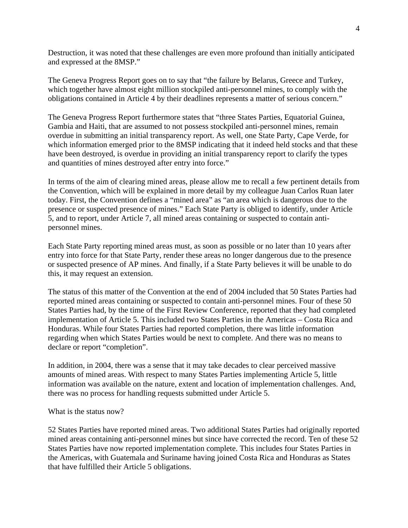Destruction, it was noted that these challenges are even more profound than initially anticipated and expressed at the 8MSP."

The Geneva Progress Report goes on to say that "the failure by Belarus, Greece and Turkey, which together have almost eight million stockpiled anti-personnel mines, to comply with the obligations contained in Article 4 by their deadlines represents a matter of serious concern."

The Geneva Progress Report furthermore states that "three States Parties, Equatorial Guinea, Gambia and Haiti, that are assumed to not possess stockpiled anti-personnel mines, remain overdue in submitting an initial transparency report. As well, one State Party, Cape Verde, for which information emerged prior to the 8MSP indicating that it indeed held stocks and that these have been destroyed, is overdue in providing an initial transparency report to clarify the types and quantities of mines destroyed after entry into force."

In terms of the aim of clearing mined areas, please allow me to recall a few pertinent details from the Convention, which will be explained in more detail by my colleague Juan Carlos Ruan later today. First, the Convention defines a "mined area" as "an area which is dangerous due to the presence or suspected presence of mines." Each State Party is obliged to identify, under Article 5, and to report, under Article 7, all mined areas containing or suspected to contain antipersonnel mines.

Each State Party reporting mined areas must, as soon as possible or no later than 10 years after entry into force for that State Party, render these areas no longer dangerous due to the presence or suspected presence of AP mines. And finally, if a State Party believes it will be unable to do this, it may request an extension.

The status of this matter of the Convention at the end of 2004 included that 50 States Parties had reported mined areas containing or suspected to contain anti-personnel mines. Four of these 50 States Parties had, by the time of the First Review Conference, reported that they had completed implementation of Article 5. This included two States Parties in the Americas – Costa Rica and Honduras. While four States Parties had reported completion, there was little information regarding when which States Parties would be next to complete. And there was no means to declare or report "completion".

In addition, in 2004, there was a sense that it may take decades to clear perceived massive amounts of mined areas. With respect to many States Parties implementing Article 5, little information was available on the nature, extent and location of implementation challenges. And, there was no process for handling requests submitted under Article 5.

What is the status now?

52 States Parties have reported mined areas. Two additional States Parties had originally reported mined areas containing anti-personnel mines but since have corrected the record. Ten of these 52 States Parties have now reported implementation complete. This includes four States Parties in the Americas, with Guatemala and Suriname having joined Costa Rica and Honduras as States that have fulfilled their Article 5 obligations.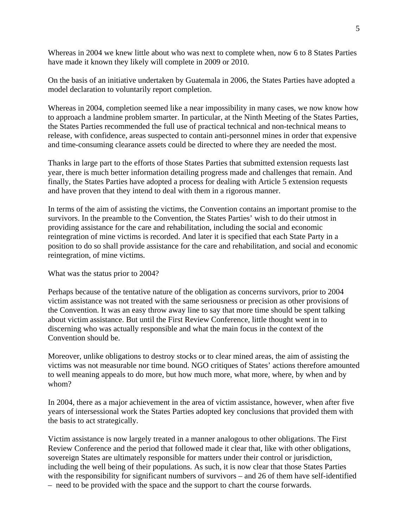Whereas in 2004 we knew little about who was next to complete when, now 6 to 8 States Parties have made it known they likely will complete in 2009 or 2010.

On the basis of an initiative undertaken by Guatemala in 2006, the States Parties have adopted a model declaration to voluntarily report completion.

Whereas in 2004, completion seemed like a near impossibility in many cases, we now know how to approach a landmine problem smarter. In particular, at the Ninth Meeting of the States Parties, the States Parties recommended the full use of practical technical and non-technical means to release, with confidence, areas suspected to contain anti-personnel mines in order that expensive and time-consuming clearance assets could be directed to where they are needed the most.

Thanks in large part to the efforts of those States Parties that submitted extension requests last year, there is much better information detailing progress made and challenges that remain. And finally, the States Parties have adopted a process for dealing with Article 5 extension requests and have proven that they intend to deal with them in a rigorous manner.

In terms of the aim of assisting the victims, the Convention contains an important promise to the survivors. In the preamble to the Convention, the States Parties' wish to do their utmost in providing assistance for the care and rehabilitation, including the social and economic reintegration of mine victims is recorded. And later it is specified that each State Party in a position to do so shall provide assistance for the care and rehabilitation, and social and economic reintegration, of mine victims.

What was the status prior to 2004?

Perhaps because of the tentative nature of the obligation as concerns survivors, prior to 2004 victim assistance was not treated with the same seriousness or precision as other provisions of the Convention. It was an easy throw away line to say that more time should be spent talking about victim assistance. But until the First Review Conference, little thought went in to discerning who was actually responsible and what the main focus in the context of the Convention should be.

Moreover, unlike obligations to destroy stocks or to clear mined areas, the aim of assisting the victims was not measurable nor time bound. NGO critiques of States' actions therefore amounted to well meaning appeals to do more, but how much more, what more, where, by when and by whom?

In 2004, there as a major achievement in the area of victim assistance, however, when after five years of intersessional work the States Parties adopted key conclusions that provided them with the basis to act strategically.

Victim assistance is now largely treated in a manner analogous to other obligations. The First Review Conference and the period that followed made it clear that, like with other obligations, sovereign States are ultimately responsible for matters under their control or jurisdiction, including the well being of their populations. As such, it is now clear that those States Parties with the responsibility for significant numbers of survivors – and 26 of them have self-identified – need to be provided with the space and the support to chart the course forwards.